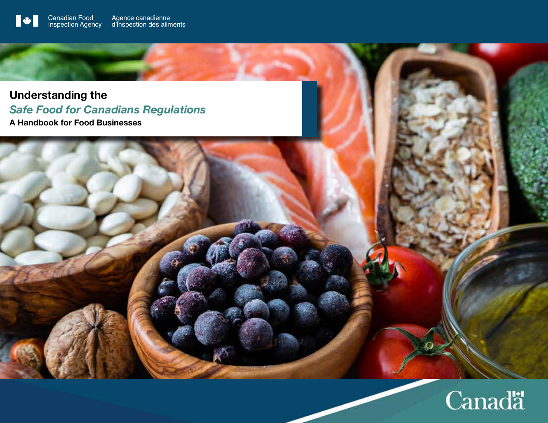**Understanding the**  *Safe Food for Canadians Regulations* **A Handbook for Food Businesses**

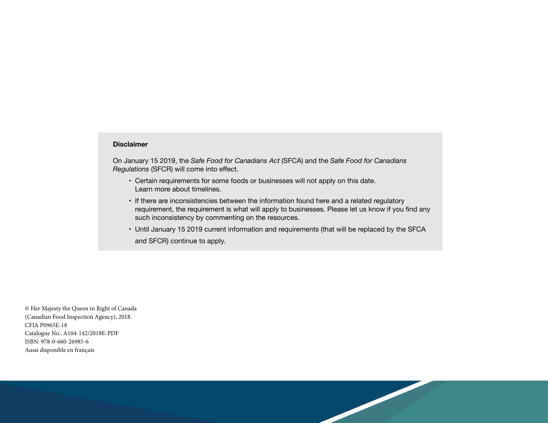#### **Disclaimer**

On January 15 2019, the *Safe Food for Canadians Act* (SFCA) and the *Safe Food for Canadians Regulations* (SFCR) will come into effect.

- Certain requirements for some foods or businesses will not apply on this date. Learn more about timelines.
- If there are inconsistencies between the information found here and a related regulatory requirement, the requirement is what will apply to businesses. Please let us know if you find any such inconsistency by commenting on the resources.
- Until January 15 2019 current information and requirements (that will be replaced by the SFCA and SFCR) continue to apply.

© Her Majesty the Queen in Right of Canada (Canadian Food Inspection Agency), 2018. CFIA P0965E-18 Catalogue No.: A104-142/2018E-PDF ISBN: 978-0-660-26985-6 Aussi disponible en français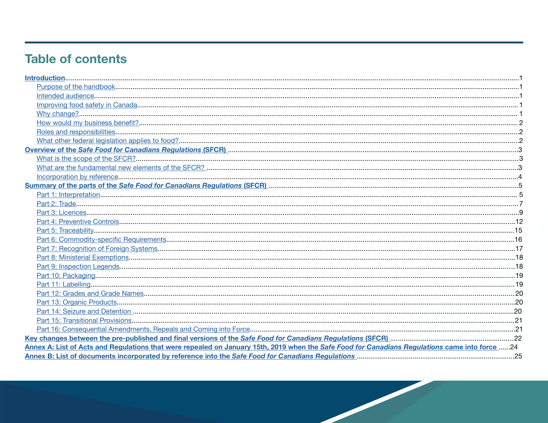# **Table of contents**

| Annex A: List of Acts and Regulations that were repealed on January 15th, 2019 when the Safe Food for Canadians Regulations came into force 24 |  |
|------------------------------------------------------------------------------------------------------------------------------------------------|--|
|                                                                                                                                                |  |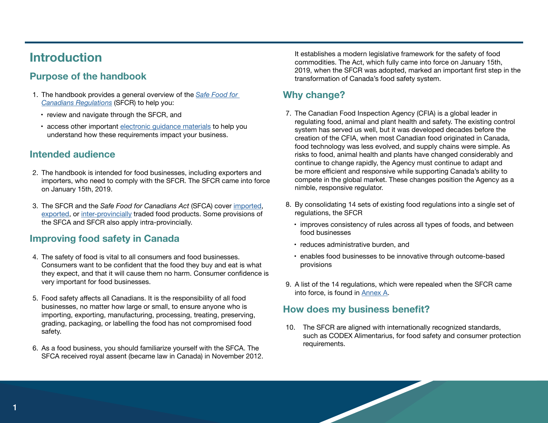# **Introduction**

# **Purpose of the handbook**

- 1. The handbook provides a general overview of the *Safe Food for Canadians Regulations* (SFCR) to help you:
	- review and navigate through the SFCR, and
	- access other important electronic guidance materials to help you understand how these requirements impact your business.

# **Intended audience**

- 2. The handbook is intended for food businesses, including exporters and importers, who need to comply with the SFCR. The SFCR came into force on January 15th, 2019.
- 3. The SFCR and the *Safe Food for Canadians Act* (SFCA) cover imported, exported, or inter-provincially traded food products. Some provisions of the SFCA and SFCR also apply intra-provincially.

# **Improving food safety in Canada**

- 4. The safety of food is vital to all consumers and food businesses. Consumers want to be confident that the food they buy and eat is what they expect, and that it will cause them no harm. Consumer confidence is very important for food businesses.
- 5. Food safety affects all Canadians. It is the responsibility of all food businesses, no matter how large or small, to ensure anyone who is importing, exporting, manufacturing, processing, treating, preserving, grading, packaging, or labelling the food has not compromised food safety.
- 6. As a food business, you should familiarize yourself with the SFCA. The SFCA received royal assent (became law in Canada) in November 2012.

It establishes a modern legislative framework for the safety of food commodities. The Act, which fully came into force on January 15th, 2019, when the SFCR was adopted, marked an important first step in the transformation of Canada's food safety system.

# **Why change?**

- 7. The Canadian Food Inspection Agency (CFIA) is a global leader in regulating food, animal and plant health and safety. The existing control system has served us well, but it was developed decades before the creation of the CFIA, when most Canadian food originated in Canada, food technology was less evolved, and supply chains were simple. As risks to food, animal health and plants have changed considerably and continue to change rapidly, the Agency must continue to adapt and be more efficient and responsive while supporting Canada's ability to compete in the global market. These changes position the Agency as a nimble, responsive regulator.
- 8. By consolidating 14 sets of existing food regulations into a single set of regulations, the SFCR
	- improves consistency of rules across all types of foods, and between food businesses
	- reduces administrative burden, and
	- enables food businesses to be innovative through outcome-based provisions
- 9. A list of the 14 regulations, which were repealed when the SFCR came into force, is found in Annex A.

## **How does my business benefit?**

10. The SFCR are aligned with internationally recognized standards, such as CODEX Alimentarius, for food safety and consumer protection requirements.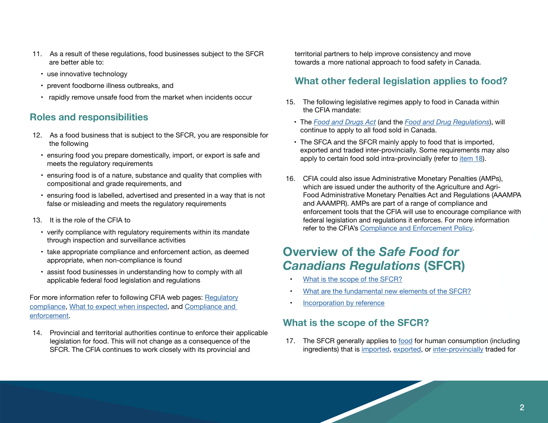- 11. As a result of these regulations, food businesses subject to the SFCR are better able to:
	- use innovative technology
	- prevent foodborne illness outbreaks, and
	- rapidly remove unsafe food from the market when incidents occur

# **Roles and responsibilities**

- 12. As a food business that is subject to the SFCR, you are responsible for the following
	- ensuring food you prepare domestically, import, or export is safe and meets the regulatory requirements
	- ensuring food is of a nature, substance and quality that complies with compositional and grade requirements, and
	- ensuring food is labelled, advertised and presented in a way that is not false or misleading and meets the regulatory requirements
- 13. It is the role of the CFIA to
	- verify compliance with regulatory requirements within its mandate through inspection and surveillance activities
	- take appropriate compliance and enforcement action, as deemed appropriate, when non-compliance is found
	- assist food businesses in understanding how to comply with all applicable federal food legislation and regulations

For more information refer to following CFIA web pages: Regulatory compliance, What to expect when inspected, and Compliance and enforcement.

14. Provincial and territorial authorities continue to enforce their applicable legislation for food. This will not change as a consequence of the SFCR. The CFIA continues to work closely with its provincial and

territorial partners to help improve consistency and move towards a more national approach to food safety in Canada.

# **What other federal legislation applies to food?**

- 15. The following legislative regimes apply to food in Canada within the CFIA mandate:
	- The *Food and Drugs Act* (and the *Food and Drug Regulations*), will continue to apply to all food sold in Canada.
	- The SFCA and the SFCR mainly apply to food that is imported, exported and traded inter-provincially. Some requirements may also apply to certain food sold intra-provincially (refer to item 18).
- 16. CFIA could also issue Administrative Monetary Penalties (AMPs), which are issued under the authority of the Agriculture and Agri-Food Administrative Monetary Penalties Act and Regulations (AAAMPA and AAAMPR). AMPs are part of a range of compliance and enforcement tools that the CFIA will use to encourage compliance with federal legislation and regulations it enforces. For more information refer to the CFIA's Compliance and Enforcement Policy.

# **Overview of the** *Safe Food for Canadians Regulations* **(SFCR)**

- What is the scope of the SFCR?
- What are the fundamental new elements of the SFCR?
- Incorporation by reference

# **What is the scope of the SFCR?**

17. The SFCR generally applies to food for human consumption (including ingredients) that is imported, exported, or inter-provincially traded for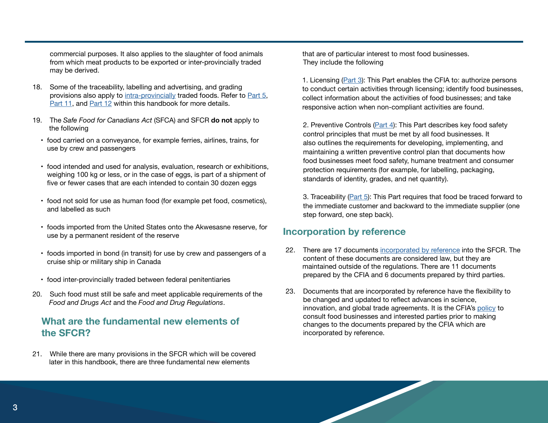commercial purposes. It also applies to the slaughter of food animals from which meat products to be exported or inter-provincially traded may be derived.

- 18. Some of the traceability, labelling and advertising, and grading provisions also apply to intra-provincially traded foods. Refer to Part 5, Part 11, and Part 12 within this handbook for more details.
- 19. The *Safe Food for Canadians Act* (SFCA) and SFCR **do not** apply to the following
	- food carried on a conveyance, for example ferries, airlines, trains, for use by crew and passengers
	- food intended and used for analysis, evaluation, research or exhibitions, weighing 100 kg or less, or in the case of eggs, is part of a shipment of five or fewer cases that are each intended to contain 30 dozen eggs
	- food not sold for use as human food (for example pet food, cosmetics), and labelled as such
	- foods imported from the United States onto the Akwesasne reserve, for use by a permanent resident of the reserve
	- foods imported in bond (in transit) for use by crew and passengers of a cruise ship or military ship in Canada
	- food inter-provincially traded between federal penitentiaries
- 20. Such food must still be safe and meet applicable requirements of the *Food and Drugs Act* and the *Food and Drug Regulations*.

## **What are the fundamental new elements of the SFCR?**

21. While there are many provisions in the SFCR which will be covered later in this handbook, there are three fundamental new elements

 that are of particular interest to most food businesses. They include the following

1. Licensing (Part 3): This Part enables the CFIA to: authorize persons to conduct certain activities through licensing; identify food businesses, collect information about the activities of food businesses; and take responsive action when non-compliant activities are found.

2. Preventive Controls (Part 4): This Part describes key food safety control principles that must be met by all food businesses. It also outlines the requirements for developing, implementing, and maintaining a written preventive control plan that documents how food businesses meet food safety, humane treatment and consumer protection requirements (for example, for labelling, packaging, standards of identity, grades, and net quantity).

3. Traceability (Part 5): This Part requires that food be traced forward to the immediate customer and backward to the immediate supplier (one step forward, one step back).

## **Incorporation by reference**

- 22. There are 17 documents incorporated by reference into the SFCR. The content of these documents are considered law, but they are maintained outside of the regulations. There are 11 documents prepared by the CFIA and 6 documents prepared by third parties.
- 23. Documents that are incorporated by reference have the flexibility to be changed and updated to reflect advances in science, innovation, and global trade agreements. It is the CFIA's policy to consult food businesses and interested parties prior to making changes to the documents prepared by the CFIA which are incorporated by reference.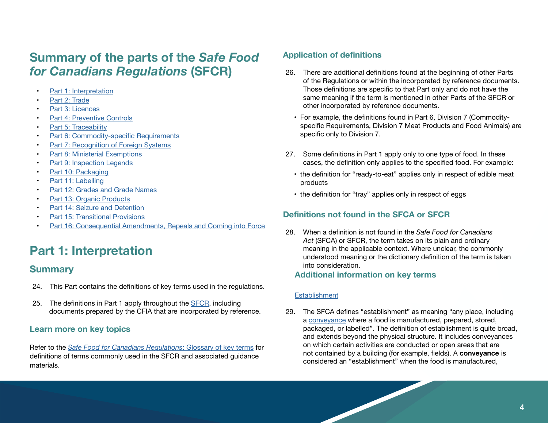# **Summary of the parts of the** *Safe Food for Canadians Regulations* **(SFCR)**

- Part 1: Interpretation
- Part 2: Trade
- Part 3: Licences
- Part 4: Preventive Controls
- Part 5: Traceability
- Part 6: Commodity-specific Requirements
- Part 7: Recognition of Foreign Systems
- Part 8: Ministerial Exemptions
- Part 9: Inspection Legends
- Part 10: Packaging
- Part 11: Labelling
- Part 12: Grades and Grade Names
- Part 13: Organic Products
- Part 14: Seizure and Detention
- Part 15: Transitional Provisions
- Part 16: Consequential Amendments, Repeals and Coming into Force

# **Part 1: Interpretation**

# **Summary**

- 24. This Part contains the definitions of key terms used in the regulations.
- 25. The definitions in Part 1 apply throughout the SFCR, including documents prepared by the CFIA that are incorporated by reference.

## **Learn more on key topics**

Refer to the *Safe Food for Canadians Regulations*: Glossary of key terms for definitions of terms commonly used in the SFCR and associated guidance materials.

## **Application of definitions**

- 26. There are additional definitions found at the beginning of other Parts of the Regulations or within the incorporated by reference documents. Those definitions are specific to that Part only and do not have the same meaning if the term is mentioned in other Parts of the SFCR or other incorporated by reference documents.
	- For example, the definitions found in Part 6, Division 7 (Commodityspecific Requirements, Division 7 Meat Products and Food Animals) are specific only to Division 7.
- 27. Some definitions in Part 1 apply only to one type of food. In these cases, the definition only applies to the specified food. For example:
	- the definition for "ready-to-eat" applies only in respect of edible meat products
	- the definition for "tray" applies only in respect of eggs

# **Definitions not found in the SFCA or SFCR**

28. When a definition is not found in the *Safe Food for Canadians Act* (SFCA) or SFCR, the term takes on its plain and ordinary meaning in the applicable context. Where unclear, the commonly understood meaning or the dictionary definition of the term is taken into consideration.

## **Additional information on key terms**

## **Establishment**

29. The SFCA defines "establishment" as meaning "any place, including a conveyance where a food is manufactured, prepared, stored, packaged, or labelled". The definition of establishment is quite broad, and extends beyond the physical structure. It includes conveyances on which certain activities are conducted or open areas that are not contained by a building (for example, fields). A **conveyance** is considered an "establishment" when the food is manufactured,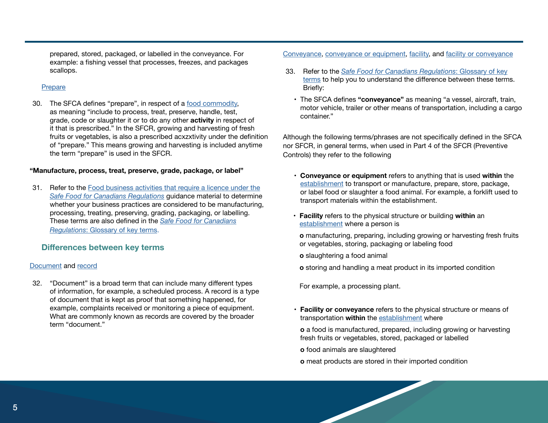prepared, stored, packaged, or labelled in the conveyance. For example: a fishing vessel that processes, freezes, and packages scallops.

#### **Prepare**

30. The SFCA defines "prepare", in respect of a food commodity, as meaning "include to process, treat, preserve, handle, test, grade, code or slaughter it or to do any other **activity** in respect of it that is prescribed." In the SFCR, growing and harvesting of fresh fruits or vegetables, is also a prescribed acxzxtivity under the definition of "prepare." This means growing and harvesting is included anytime the term "prepare" is used in the SFCR.

#### **"Manufacture, process, treat, preserve, grade, package, or label"**

31. Refer to the Food business activities that require a licence under the *Safe Food for Canadians Regulations* guidance material to determine whether your business practices are considered to be manufacturing, processing, treating, preserving, grading, packaging, or labelling. These terms are also defined in the *Safe Food for Canadians Regulations*: Glossary of key terms.

### **Differences between key terms**

#### Document and record

32. "Document" is a broad term that can include many different types of information, for example, a scheduled process. A record is a type of document that is kept as proof that something happened, for example, complaints received or monitoring a piece of equipment. What are commonly known as records are covered by the broader term "document."

### Conveyance, conveyance or equipment, facility, and facility or conveyance

- 33. Refer to the *Safe Food for Canadians Regulations*: Glossary of key terms to help you to understand the difference between these terms. Briefly:
	- The SFCA defines **"conveyance"** as meaning "a vessel, aircraft, train, motor vehicle, trailer or other means of transportation, including a cargo container."

Although the following terms/phrases are not specifically defined in the SFCA nor SFCR, in general terms, when used in Part 4 of the SFCR (Preventive Controls) they refer to the following

- **• Conveyance or equipment** refers to anything that is used **within** the establishment to transport or manufacture, prepare, store, package, or label food or slaughter a food animal. For example, a forklift used to transport materials within the establishment.
- **• Facility** refers to the physical structure or building **within** an establishment where a person is
	- **o** manufacturing, preparing, including growing or harvesting fresh fruits or vegetables, storing, packaging or labeling food
- **o** slaughtering a food animal
- **o** storing and handling a meat product in its imported condition

For example, a processing plant.

**• Facility or conveyance** refers to the physical structure or means of transportation **within** the establishment where

**o** a food is manufactured, prepared, including growing or harvesting fresh fruits or vegetables, stored, packaged or labelled

**o** food animals are slaughtered

**o** meat products are stored in their imported condition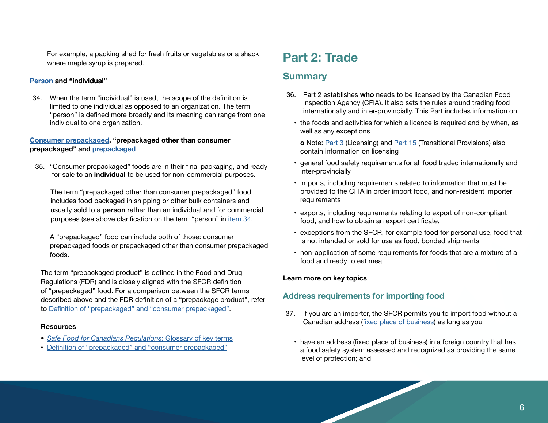For example, a packing shed for fresh fruits or vegetables or a shack where maple syrup is prepared.

#### **Person and "individual"**

34. When the term "individual" is used, the scope of the definition is limited to one individual as opposed to an organization. The term "person" is defined more broadly and its meaning can range from one individual to one organization.

### **Consumer prepackaged, "prepackaged other than consumer prepackaged" and prepackaged**

35. "Consumer prepackaged" foods are in their final packaging, and ready for sale to an **individual** to be used for non-commercial purposes.

The term "prepackaged other than consumer prepackaged" food includes food packaged in shipping or other bulk containers and usually sold to a **person** rather than an individual and for commercial purposes (see above clarification on the term "person" in item 34.

A "prepackaged" food can include both of those: consumer prepackaged foods or prepackaged other than consumer prepackaged foods.

The term "prepackaged product" is defined in the Food and Drug Regulations (FDR) and is closely aligned with the SFCR definition of "prepackaged" food. For a comparison between the SFCR terms described above and the FDR definition of a "prepackage product", refer to Definition of "prepackaged" and "consumer prepackaged".

#### **Resources**

- *• Safe Food for Canadians Regulations*: Glossary of key terms
- Definition of "prepackaged" and "consumer prepackaged"

# **Part 2: Trade**

## **Summary**

- 36. Part 2 establishes **who** needs to be licensed by the Canadian Food Inspection Agency (CFIA). It also sets the rules around trading food internationally and inter-provincially. This Part includes information on
	- the foods and activities for which a licence is required and by when, as well as any exceptions
		- **o** Note: Part 3 (Licensing) and Part 15 (Transitional Provisions) also contain information on licensing
	- general food safety requirements for all food traded internationally and inter-provincially
	- imports, including requirements related to information that must be provided to the CFIA in order import food, and non-resident importer requirements
	- exports, including requirements relating to export of non-compliant food, and how to obtain an export certificate,
	- exceptions from the SFCR, for example food for personal use, food that is not intended or sold for use as food, bonded shipments
	- non-application of some requirements for foods that are a mixture of a food and ready to eat meat

#### **Learn more on key topics**

## **Address requirements for importing food**

- 37. If you are an importer, the SFCR permits you to import food without a Canadian address (fixed place of business) as long as you
	- have an address (fixed place of business) in a foreign country that has a food safety system assessed and recognized as providing the same level of protection; and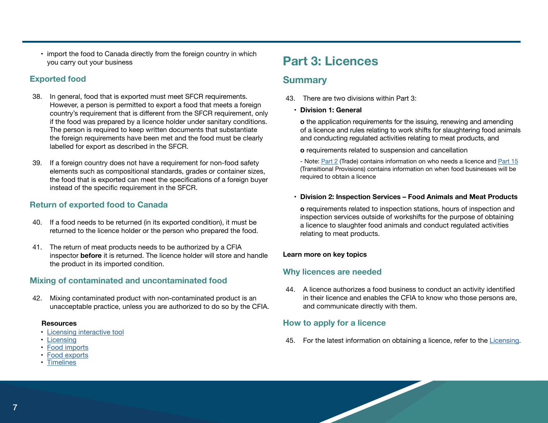• import the food to Canada directly from the foreign country in which you carry out your business

## **Exported food**

- 38. In general, food that is exported must meet SFCR requirements. However, a person is permitted to export a food that meets a foreign country's requirement that is different from the SFCR requirement, only if the food was prepared by a licence holder under sanitary conditions. The person is required to keep written documents that substantiate the foreign requirements have been met and the food must be clearly labelled for export as described in the SFCR.
- 39. If a foreign country does not have a requirement for non-food safety elements such as compositional standards, grades or container sizes, the food that is exported can meet the specifications of a foreign buyer instead of the specific requirement in the SFCR.

## **Return of exported food to Canada**

- 40. If a food needs to be returned (in its exported condition), it must be returned to the licence holder or the person who prepared the food.
- 41. The return of meat products needs to be authorized by a CFIA inspector **before** it is returned. The licence holder will store and handle the product in its imported condition.

## **Mixing of contaminated and uncontaminated food**

42. Mixing contaminated product with non-contaminated product is an unacceptable practice, unless you are authorized to do so by the CFIA.

#### **Resources**

- Licensing interactive tool
- Licensing
- Food imports
- Food exports
- Timelines

# **Part 3: Licences**

# **Summary**

- 43. There are two divisions within Part 3:
	- **• Division 1: General**

**o** the application requirements for the issuing, renewing and amending of a licence and rules relating to work shifts for slaughtering food animals and conducting regulated activities relating to meat products, and

**o** requirements related to suspension and cancellation

- Note: Part 2 (Trade) contains information on who needs a licence and Part 15 (Transitional Provisions) contains information on when food businesses will be required to obtain a licence

**• Division 2: Inspection Services – Food Animals and Meat Products**

**o** requirements related to inspection stations, hours of inspection and inspection services outside of workshifts for the purpose of obtaining a licence to slaughter food animals and conduct regulated activities relating to meat products.

### **Learn more on key topics**

## **Why licences are needed**

44. A licence authorizes a food business to conduct an activity identified in their licence and enables the CFIA to know who those persons are, and communicate directly with them.

## **How to apply for a licence**

45. For the latest information on obtaining a licence, refer to the Licensing.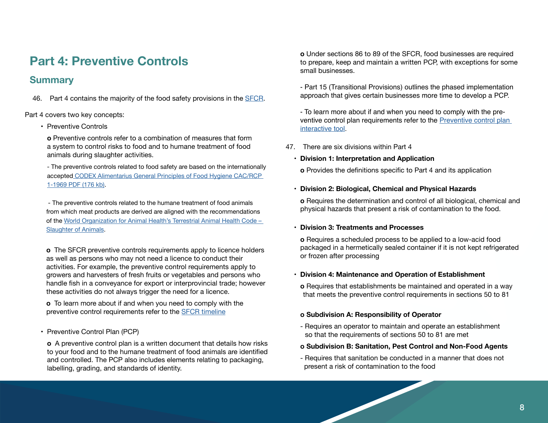# **Part 4: Preventive Controls**

# **Summary**

46. Part 4 contains the majority of the food safety provisions in the SFCR.

Part 4 covers two key concepts:

• Preventive Controls

**o** Preventive controls refer to a combination of measures that form a system to control risks to food and to humane treatment of food animals during slaughter activities.

- The preventive controls related to food safety are based on the internationally accepted CODEX Alimentarius General Principles of Food Hygiene CAC/RCP 1-1969 PDF (176 kb).

 - The preventive controls related to the humane treatment of food animals from which meat products are derived are aligned with the recommendations of the World Organization for Animal Health's Terrestrial Animal Health Code – Slaughter of Animals.

**o** The SFCR preventive controls requirements apply to licence holders as well as persons who may not need a licence to conduct their activities. For example, the preventive control requirements apply to growers and harvesters of fresh fruits or vegetables and persons who handle fish in a conveyance for export or interprovincial trade; however these activities do not always trigger the need for a licence.

**o** To learn more about if and when you need to comply with the preventive control requirements refer to the SFCR timeline

• Preventive Control Plan (PCP)

**o** A preventive control plan is a written document that details how risks to your food and to the humane treatment of food animals are identified and controlled. The PCP also includes elements relating to packaging, labelling, grading, and standards of identity.

**o** Under sections 86 to 89 of the SFCR, food businesses are required to prepare, keep and maintain a written PCP, with exceptions for some small businesses.

- Part 15 (Transitional Provisions) outlines the phased implementation approach that gives certain businesses more time to develop a PCP.

- To learn more about if and when you need to comply with the preventive control plan requirements refer to the Preventive control plan interactive tool.

47. There are six divisions within Part 4

### **• Division 1: Interpretation and Application**

**o** Provides the definitions specific to Part 4 and its application

### **• Division 2: Biological, Chemical and Physical Hazards**

**o** Requires the determination and control of all biological, chemical and physical hazards that present a risk of contamination to the food.

### **• Division 3: Treatments and Processes**

**o** Requires a scheduled process to be applied to a low-acid food packaged in a hermetically sealed container if it is not kept refrigerated or frozen after processing

### **• Division 4: Maintenance and Operation of Establishment**

**o** Requires that establishments be maintained and operated in a way that meets the preventive control requirements in sections 50 to 81

## **o Subdivision A: Responsibility of Operator**

- Requires an operator to maintain and operate an establishment so that the requirements of sections 50 to 81 are met

### **o Subdivision B: Sanitation, Pest Control and Non-Food Agents**

- Requires that sanitation be conducted in a manner that does not present a risk of contamination to the food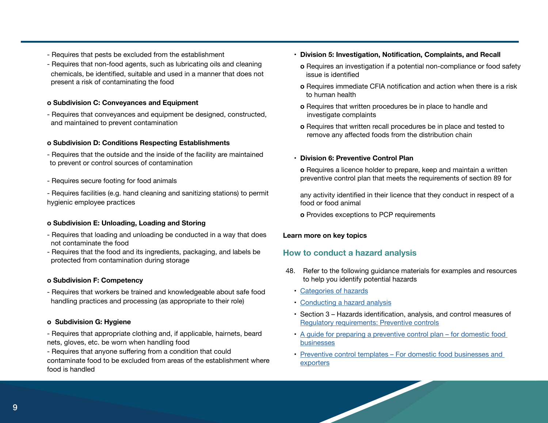- Requires that pests be excluded from the establishment
- Requires that non-food agents, such as lubricating oils and cleaning chemicals, be identified, suitable and used in a manner that does not present a risk of contaminating the food

### **o Subdivision C: Conveyances and Equipment**

- Requires that conveyances and equipment be designed, constructed, and maintained to prevent contamination

### **o Subdivision D: Conditions Respecting Establishments**

- Requires that the outside and the inside of the facility are maintained to prevent or control sources of contamination
- Requires secure footing for food animals
- Requires facilities (e.g. hand cleaning and sanitizing stations) to permit hygienic employee practices

## **o Subdivision E: Unloading, Loading and Storing**

- Requires that loading and unloading be conducted in a way that does not contaminate the food
- Requires that the food and its ingredients, packaging, and labels be protected from contamination during storage

## **o Subdivision F: Competency**

- Requires that workers be trained and knowledgeable about safe food handling practices and processing (as appropriate to their role)

## **o Subdivision G: Hygiene**

- Requires that appropriate clothing and, if applicable, hairnets, beard nets, gloves, etc. be worn when handling food
- Requires that anyone suffering from a condition that could contaminate food to be excluded from areas of the establishment where food is handled
- **• Division 5: Investigation, Notification, Complaints, and Recall** 
	- **o** Requires an investigation if a potential non-compliance or food safety issue is identified
	- **o** Requires immediate CFIA notification and action when there is a risk to human health
	- **o** Requires that written procedures be in place to handle and investigate complaints
	- **o** Requires that written recall procedures be in place and tested to remove any affected foods from the distribution chain

## **• Division 6: Preventive Control Plan**

**o** Requires a licence holder to prepare, keep and maintain a written preventive control plan that meets the requirements of section 89 for

any activity identified in their licence that they conduct in respect of a food or food animal

**o** Provides exceptions to PCP requirements

## **Learn more on key topics**

## **How to conduct a hazard analysis**

- 48. Refer to the following guidance materials for examples and resources to help you identify potential hazards
	- Categories of hazards
	- Conducting a hazard analysis
	- Section 3 Hazards identification, analysis, and control measures of Regulatory requirements: Preventive controls
	- A guide for preparing a preventive control plan for domestic food businesses
	- Preventive control templates For domestic food businesses and exporters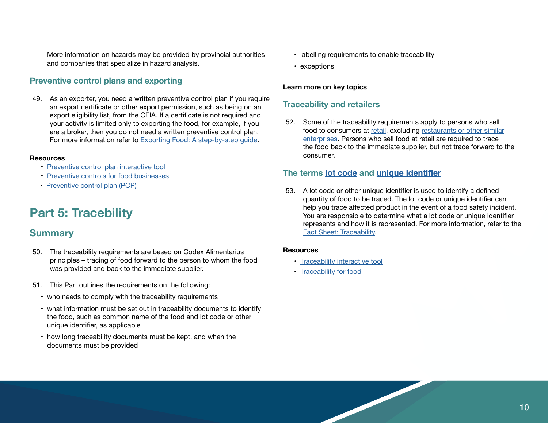More information on hazards may be provided by provincial authorities and companies that specialize in hazard analysis.

## **Preventive control plans and exporting**

49. As an exporter, you need a written preventive control plan if you require an export certificate or other export permission, such as being on an export eligibility list, from the CFIA. If a certificate is not required and your activity is limited only to exporting the food, for example, if you are a broker, then you do not need a written preventive control plan. For more information refer to Exporting Food: A step-by-step guide.

#### **Resources**

- Preventive control plan interactive tool
- Preventive controls for food businesses
- Preventive control plan (PCP)

# **Part 5: Tracebility**

## **Summary**

- 50. The traceability requirements are based on Codex Alimentarius principles – tracing of food forward to the person to whom the food was provided and back to the immediate supplier.
- 51. This Part outlines the requirements on the following:
	- who needs to comply with the traceability requirements
	- what information must be set out in traceability documents to identify the food, such as common name of the food and lot code or other unique identifier, as applicable
	- how long traceability documents must be kept, and when the documents must be provided
- labelling requirements to enable traceability
- exceptions

#### **Learn more on key topics**

### **Traceability and retailers**

52. Some of the traceability requirements apply to persons who sell food to consumers at retail, excluding restaurants or other similar enterprises. Persons who sell food at retail are required to trace the food back to the immediate supplier, but not trace forward to the consumer.

### **The terms lot code and unique identifier**

53. A lot code or other unique identifier is used to identify a defined quantity of food to be traced. The lot code or unique identifier can help you trace affected product in the event of a food safety incident. You are responsible to determine what a lot code or unique identifier represents and how it is represented. For more information, refer to the Fact Sheet: Traceability.

#### **Resources**

- Traceability interactive tool
- Traceability for food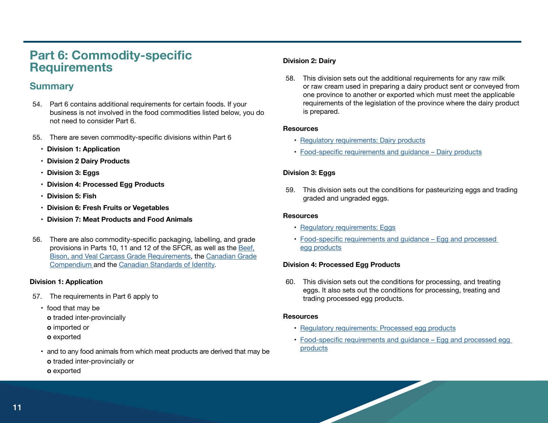# **Part 6: Commodity-specific Requirements**

# **Summary**

- 54. Part 6 contains additional requirements for certain foods. If your business is not involved in the food commodities listed below, you do not need to consider Part 6.
- 55. There are seven commodity-specific divisions within Part 6
	- **• Division 1: Application**
	- **• Division 2 Dairy Products**
	- **• Division 3: Eggs**
	- **• Division 4: Processed Egg Products**
	- **• Division 5: Fish**
	- **• Division 6: Fresh Fruits or Vegetables**
	- **• Division 7: Meat Products and Food Animals**
- 56. There are also commodity-specific packaging, labelling, and grade provisions in Parts 10, 11 and 12 of the SFCR, as well as the Beef, Bison, and Veal Carcass Grade Requirements, the Canadian Grade Compendium and the Canadian Standards of Identity.

#### **Division 1: Application**

- 57. The requirements in Part 6 apply to
	- food that may be
		- **o** traded inter-provincially
	- **o** imported or
	- **o** exported
	- and to any food animals from which meat products are derived that may be **o** traded inter-provincially or **o** exported

### **Division 2: Dairy**

58. This division sets out the additional requirements for any raw milk or raw cream used in preparing a dairy product sent or conveyed from one province to another or exported which must meet the applicable requirements of the legislation of the province where the dairy product is prepared.

#### **Resources**

- Regulatory requirements: Dairy products
- Food-specific requirements and guidance Dairy products

### **Division 3: Eggs**

59. This division sets out the conditions for pasteurizing eggs and trading graded and ungraded eggs.

#### **Resources**

- Regulatory requirements: Eggs
- Food-specific requirements and guidance Egg and processed egg products

#### **Division 4: Processed Egg Products**

60. This division sets out the conditions for processing, and treating eggs. It also sets out the conditions for processing, treating and trading processed egg products.

#### **Resources**

- Regulatory requirements: Processed egg products
- Food-specific requirements and guidance Egg and processed egg products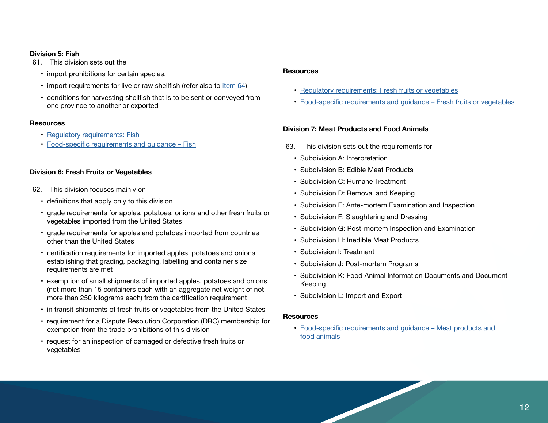#### **Division 5: Fish**

61. This division sets out the

- import prohibitions for certain species,
- import requirements for live or raw shellfish (refer also to item 64)
- conditions for harvesting shellfish that is to be sent or conveyed from one province to another or exported

#### **Resources**

- Regulatory requirements: Fish
- Food-specific requirements and guidance Fish

### **Division 6: Fresh Fruits or Vegetables**

- 62. This division focuses mainly on
	- definitions that apply only to this division
	- grade requirements for apples, potatoes, onions and other fresh fruits or vegetables imported from the United States
	- grade requirements for apples and potatoes imported from countries other than the United States
	- certification requirements for imported apples, potatoes and onions establishing that grading, packaging, labelling and container size requirements are met
	- exemption of small shipments of imported apples, potatoes and onions (not more than 15 containers each with an aggregate net weight of not more than 250 kilograms each) from the certification requirement
	- in transit shipments of fresh fruits or vegetables from the United States
	- requirement for a Dispute Resolution Corporation (DRC) membership for exemption from the trade prohibitions of this division
	- request for an inspection of damaged or defective fresh fruits or vegetables

#### **Resources**

- Regulatory requirements: Fresh fruits or vegetables
- Food-specific requirements and guidance Fresh fruits or vegetables

#### **Division 7: Meat Products and Food Animals**

- 63. This division sets out the requirements for
	- Subdivision A: Interpretation
	- Subdivision B: Edible Meat Products
	- Subdivision C: Humane Treatment
	- Subdivision D: Removal and Keeping
	- Subdivision E: Ante-mortem Examination and Inspection
	- Subdivision F: Slaughtering and Dressing
	- Subdivision G: Post-mortem Inspection and Examination
	- Subdivision H: Inedible Meat Products
	- Subdivision I: Treatment
	- Subdivision J: Post-mortem Programs
	- Subdivision K: Food Animal Information Documents and Document Keeping
	- Subdivision L: Import and Export

#### **Resources**

• Food-specific requirements and guidance – Meat products and food animals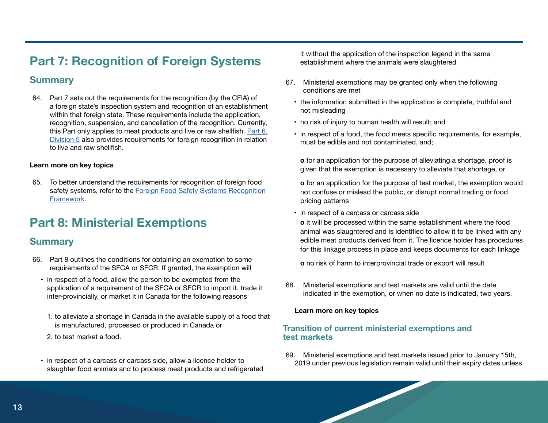# **Part 7: Recognition of Foreign Systems**

# **Summary**

64. Part 7 sets out the requirements for the recognition (by the CFIA) of a foreign state's inspection system and recognition of an establishment within that foreign state. These requirements include the application, recognition, suspension, and cancellation of the recognition. Currently, this Part only applies to meat products and live or raw shellfish. Part 6, Division 5 also provides requirements for foreign recognition in relation to live and raw shellfish.

### **Learn more on key topics**

65. To better understand the requirements for recognition of foreign food safety systems, refer to the Foreign Food Safety Systems Recognition Framework.

# **Part 8: Ministerial Exemptions**

## **Summary**

- 66. Part 8 outlines the conditions for obtaining an exemption to some requirements of the SFCA or SFCR. If granted, the exemption will
	- in respect of a food, allow the person to be exempted from the application of a requirement of the SFCA or SFCR to import it, trade it inter-provincially, or market it in Canada for the following reasons
		- 1. to alleviate a shortage in Canada in the available supply of a food that is manufactured, processed or produced in Canada or
		- 2. to test market a food.
	- in respect of a carcass or carcass side, allow a licence holder to slaughter food animals and to process meat products and refrigerated

it without the application of the inspection legend in the same establishment where the animals were slaughtered

- 67. Ministerial exemptions may be granted only when the following conditions are met
	- the information submitted in the application is complete, truthful and not misleading
	- no risk of injury to human health will result; and
	- in respect of a food, the food meets specific requirements, for example, must be edible and not contaminated, and;

**o** for an application for the purpose of alleviating a shortage, proof is given that the exemption is necessary to alleviate that shortage, or

**o** for an application for the purpose of test market, the exemption would not confuse or mislead the public, or disrupt normal trading or food pricing patterns

• in respect of a carcass or carcass side

**o** it will be processed within the same establishment where the food animal was slaughtered and is identified to allow it to be linked with any edible meat products derived from it. The licence holder has procedures for this linkage process in place and keeps documents for each linkage

**o** no risk of harm to interprovincial trade or export will result

68. Ministerial exemptions and test markets are valid until the date indicated in the exemption, or when no date is indicated, two years.

#### **Learn more on key topics**

## **Transition of current ministerial exemptions and test markets**

69. Ministerial exemptions and test markets issued prior to January 15th, 2019 under previous legislation remain valid until their expiry dates unless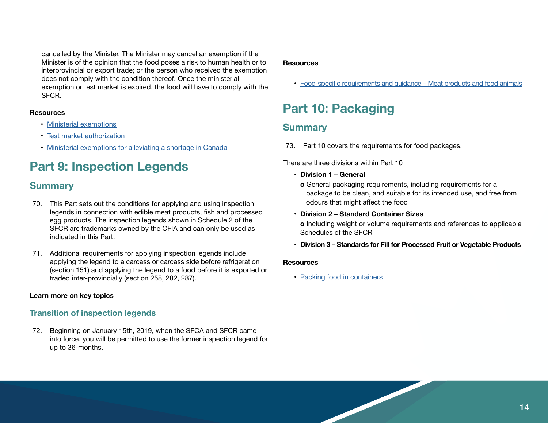cancelled by the Minister. The Minister may cancel an exemption if the Minister is of the opinion that the food poses a risk to human health or to interprovincial or export trade; or the person who received the exemption does not comply with the condition thereof. Once the ministerial exemption or test market is expired, the food will have to comply with the SFCR.

#### **Resources**

- Ministerial exemptions
- Test market authorization
- Ministerial exemptions for alleviating a shortage in Canada

# **Part 9: Inspection Legends**

# **Summary**

- 70. This Part sets out the conditions for applying and using inspection legends in connection with edible meat products, fish and processed egg products. The inspection legends shown in Schedule 2 of the SFCR are trademarks owned by the CFIA and can only be used as indicated in this Part.
- 71. Additional requirements for applying inspection legends include applying the legend to a carcass or carcass side before refrigeration (section 151) and applying the legend to a food before it is exported or traded inter-provincially (section 258, 282, 287).

### **Learn more on key topics**

## **Transition of inspection legends**

72. Beginning on January 15th, 2019, when the SFCA and SFCR came into force, you will be permitted to use the former inspection legend for up to 36-months.

#### **Resources**

• Food-specific requirements and guidance – Meat products and food animals

# **Part 10: Packaging**

# **Summary**

73. Part 10 covers the requirements for food packages.

There are three divisions within Part 10

- **• Division 1 General** 
	- **o** General packaging requirements, including requirements for a package to be clean, and suitable for its intended use, and free from odours that might affect the food
- **• Division 2 Standard Container Sizes**

**o** Including weight or volume requirements and references to applicable Schedules of the SFCR

**• Division 3 – Standards for Fill for Processed Fruit or Vegetable Products**

#### **Resources**

• Packing food in containers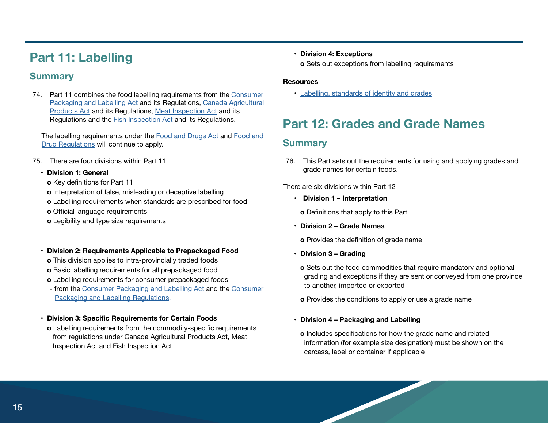# **Part 11: Labelling**

# **Summary**

74. Part 11 combines the food labelling requirements from the Consumer Packaging and Labelling Act and its Regulations, Canada Agricultural Products Act and its Regulations, Meat Inspection Act and its Regulations and the Fish Inspection Act and its Regulations.

The labelling requirements under the Food and Drugs Act and Food and Drug Regulations will continue to apply.

- 75. There are four divisions within Part 11
	- **• Division 1: General** 
		- **o** Key definitions for Part 11
		- **o** Interpretation of false, misleading or deceptive labelling
		- **o** Labelling requirements when standards are prescribed for food
		- **o** Official language requirements
		- **o** Legibility and type size requirements
	- **• Division 2: Requirements Applicable to Prepackaged Food** 
		- **o** This division applies to intra-provincially traded foods
		- **o** Basic labelling requirements for all prepackaged food
		- **o** Labelling requirements for consumer prepackaged foods
		- from the Consumer Packaging and Labelling Act and the Consumer Packaging and Labelling Regulations.
	- **• Division 3: Specific Requirements for Certain Foods**
	- **o** Labelling requirements from the commodity-specific requirements from regulations under Canada Agricultural Products Act, Meat Inspection Act and Fish Inspection Act

**• Division 4: Exceptions** 

**o** Sets out exceptions from labelling requirements

### **Resources**

• Labelling, standards of identity and grades

# **Part 12: Grades and Grade Names**

# **Summary**

76. This Part sets out the requirements for using and applying grades and grade names for certain foods.

There are six divisions within Part 12

**• Division 1 – Interpretation** 

**o** Definitions that apply to this Part

**• Division 2 – Grade Names** 

**o** Provides the definition of grade name

- **• Division 3 Grading** 
	- **o** Sets out the food commodities that require mandatory and optional grading and exceptions if they are sent or conveyed from one province to another, imported or exported

**o** Provides the conditions to apply or use a grade name

## **• Division 4 – Packaging and Labelling**

**o** Includes specifications for how the grade name and related information (for example size designation) must be shown on the carcass, label or container if applicable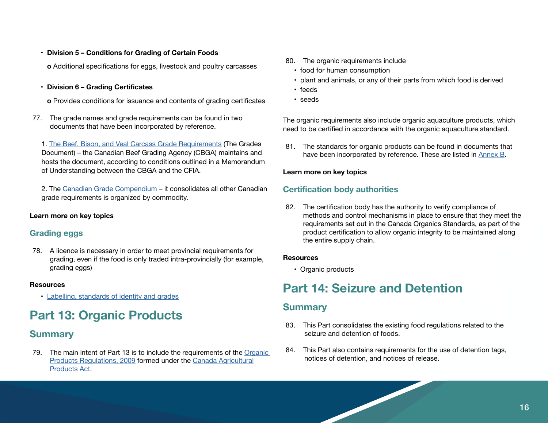**• Division 5 – Conditions for Grading of Certain Foods** 

**o** Additional specifications for eggs, livestock and poultry carcasses

**• Division 6 – Grading Certificates** 

**o** Provides conditions for issuance and contents of grading certificates

77. The grade names and grade requirements can be found in two documents that have been incorporated by reference.

1. The Beef, Bison, and Veal Carcass Grade Requirements (The Grades Document) – the Canadian Beef Grading Agency (CBGA) maintains and hosts the document, according to conditions outlined in a Memorandum of Understanding between the CBGA and the CFIA.

2. The Canadian Grade Compendium – it consolidates all other Canadian grade requirements is organized by commodity.

### **Learn more on key topics**

## **Grading eggs**

78. A licence is necessary in order to meet provincial requirements for grading, even if the food is only traded intra-provincially (for example, grading eggs)

#### **Resources**

• Labelling, standards of identity and grades

# **Part 13: Organic Products**

# **Summary**

79. The main intent of Part 13 is to include the requirements of the Organic Products Regulations, 2009 formed under the Canada Agricultural Products Act.

- 80. The organic requirements include
	- food for human consumption
	- plant and animals, or any of their parts from which food is derived
	- feeds
	- seeds

The organic requirements also include organic aquaculture products, which need to be certified in accordance with the organic aquaculture standard.

81. The standards for organic products can be found in documents that have been incorporated by reference. These are listed in Annex B.

### **Learn more on key topics**

## **Certification body authorities**

82. The certification body has the authority to verify compliance of methods and control mechanisms in place to ensure that they meet the requirements set out in the Canada Organics Standards, as part of the product certification to allow organic integrity to be maintained along the entire supply chain.

#### **Resources**

• Organic products

# **Part 14: Seizure and Detention**

## **Summary**

- 83. This Part consolidates the existing food regulations related to the seizure and detention of foods.
- 84. This Part also contains requirements for the use of detention tags, notices of detention, and notices of release.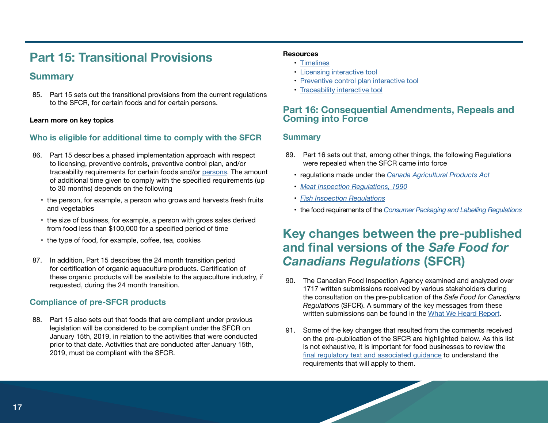# **Part 15: Transitional Provisions**

## **Summary**

85. Part 15 sets out the transitional provisions from the current regulations to the SFCR, for certain foods and for certain persons.

#### **Learn more on key topics**

## **Who is eligible for additional time to comply with the SFCR**

- 86. Part 15 describes a phased implementation approach with respect to licensing, preventive controls, preventive control plan, and/or traceability requirements for certain foods and/or persons. The amount of additional time given to comply with the specified requirements (up to 30 months) depends on the following
	- the person, for example, a person who grows and harvests fresh fruits and vegetables
	- the size of business, for example, a person with gross sales derived from food less than \$100,000 for a specified period of time
	- the type of food, for example, coffee, tea, cookies
- 87. In addition, Part 15 describes the 24 month transition period for certification of organic aquaculture products. Certification of these organic products will be available to the aquaculture industry, if requested, during the 24 month transition.

## **Compliance of pre-SFCR products**

88. Part 15 also sets out that foods that are compliant under previous legislation will be considered to be compliant under the SFCR on January 15th, 2019, in relation to the activities that were conducted prior to that date. Activities that are conducted after January 15th, 2019, must be compliant with the SFCR.

### **Resources**

- Timelines
- Licensing interactive tool
- Preventive control plan interactive tool
- Traceability interactive tool

## **Part 16: Consequential Amendments, Repeals and Coming into Force**

## **Summary**

- 89. Part 16 sets out that, among other things, the following Regulations were repealed when the SFCR came into force
	- regulations made under the *Canada Agricultural Products Act*
	- *Meat Inspection Regulations, 1990*
	- *Fish Inspection Regulations*
	- the food requirements of the *Consumer Packaging and Labelling Regulations*

# **Key changes between the pre-published and final versions of the** *Safe Food for Canadians Regulations* **(SFCR)**

- 90. The Canadian Food Inspection Agency examined and analyzed over 1717 written submissions received by various stakeholders during the consultation on the pre-publication of the *Safe Food for Canadians Regulations* (SFCR). A summary of the key messages from these written submissions can be found in the What We Heard Report.
- 91. Some of the key changes that resulted from the comments received on the pre-publication of the SFCR are highlighted below. As this list is not exhaustive, it is important for food businesses to review the final regulatory text and associated guidance to understand the requirements that will apply to them.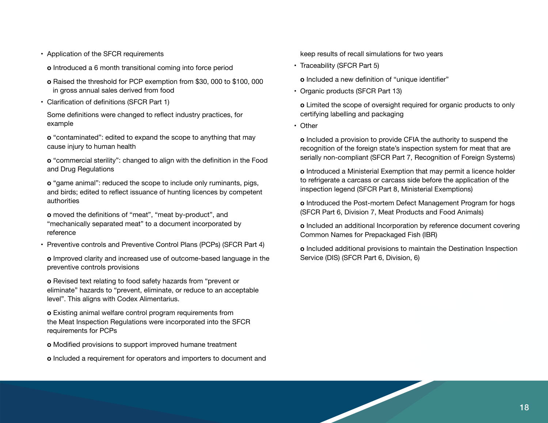- Application of the SFCR requirements
	- **o** Introduced a 6 month transitional coming into force period
- **o** Raised the threshold for PCP exemption from \$30, 000 to \$100, 000 in gross annual sales derived from food
- Clarification of definitions (SFCR Part 1)

Some definitions were changed to reflect industry practices, for example

**o** "contaminated": edited to expand the scope to anything that may cause injury to human health

**o** "commercial sterility": changed to align with the definition in the Food and Drug Regulations

**o** "game animal": reduced the scope to include only ruminants, pigs, and birds; edited to reflect issuance of hunting licences by competent authorities

**o** moved the definitions of "meat", "meat by-product", and "mechanically separated meat" to a document incorporated by reference

• Preventive controls and Preventive Control Plans (PCPs) (SFCR Part 4)

**o** Improved clarity and increased use of outcome-based language in the preventive controls provisions

**o** Revised text relating to food safety hazards from "prevent or eliminate" hazards to "prevent, eliminate, or reduce to an acceptable level". This aligns with Codex Alimentarius.

**o** Existing animal welfare control program requirements from the Meat Inspection Regulations were incorporated into the SFCR requirements for PCPs

**o** Modified provisions to support improved humane treatment

**o** Included a requirement for operators and importers to document and

keep results of recall simulations for two years

• Traceability (SFCR Part 5)

**o** Included a new definition of "unique identifier"

• Organic products (SFCR Part 13)

**o** Limited the scope of oversight required for organic products to only certifying labelling and packaging

• Other

**o** Included a provision to provide CFIA the authority to suspend the recognition of the foreign state's inspection system for meat that are serially non-compliant (SFCR Part 7, Recognition of Foreign Systems)

**o** Introduced a Ministerial Exemption that may permit a licence holder to refrigerate a carcass or carcass side before the application of the inspection legend (SFCR Part 8, Ministerial Exemptions)

**o** Introduced the Post-mortem Defect Management Program for hogs (SFCR Part 6, Division 7, Meat Products and Food Animals)

**o** Included an additional Incorporation by reference document covering Common Names for Prepackaged Fish (IBR)

**o** Included additional provisions to maintain the Destination Inspection Service (DIS) (SFCR Part 6, Division, 6)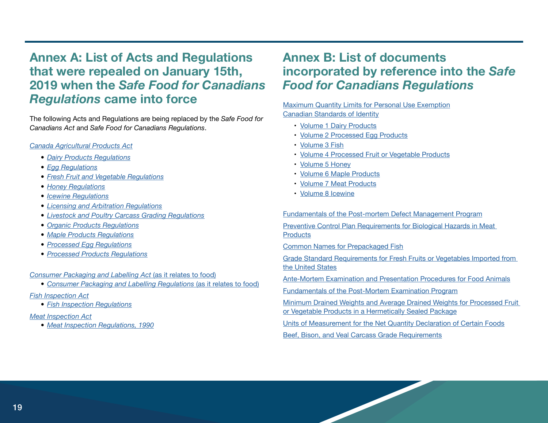# **Annex A: List of Acts and Regulations that were repealed on January 15th, 2019 when the** *Safe Food for Canadians Regulations* **came into force**

The following Acts and Regulations are being replaced by the *Safe Food for Canadians Act* and *Safe Food for Canadians Regulations*.

#### *Canada Agricultural Products Act*

- *• Dairy Products Regulations*
- *• Egg Regulations*
- *• Fresh Fruit and Vegetable Regulations*
- *• Honey Regulations*
- *• Icewine Regulations*
- *• Licensing and Arbitration Regulations*
- *• Livestock and Poultry Carcass Grading Regulations*
- *• Organic Products Regulations*
- *• Maple Products Regulations*
- *• Processed Egg Regulations*
- *• Processed Products Regulations*

*Consumer Packaging and Labelling Act* (as it relates to food)

- *• Consumer Packaging and Labelling Regulations* (as it relates to food)
- *Fish Inspection Act*
	- *• Fish Inspection Regulations*

#### *Meat Inspection Act*

*• Meat Inspection Regulations, 1990*

# **Annex B: List of documents incorporated by reference into the** *Safe Food for Canadians Regulations*

#### Maximum Quantity Limits for Personal Use Exemption Canadian Standards of Identity

- Volume 1 Dairy Products
- Volume 2 Processed Egg Products
- Volume 3 Fish
- Volume 4 Processed Fruit or Vegetable Products
- Volume 5 Honey
- Volume 6 Maple Products
- Volume 7 Meat Products
- Volume 8 Icewine

Fundamentals of the Post-mortem Defect Management Program

Preventive Control Plan Requirements for Biological Hazards in Meat **Products** 

Common Names for Prepackaged Fish

Grade Standard Requirements for Fresh Fruits or Vegetables Imported from the United States

Ante-Mortem Examination and Presentation Procedures for Food Animals

Fundamentals of the Post-Mortem Examination Program

Minimum Drained Weights and Average Drained Weights for Processed Fruit or Vegetable Products in a Hermetically Sealed Package

Units of Measurement for the Net Quantity Declaration of Certain Foods

Beef, Bison, and Veal Carcass Grade Requirements